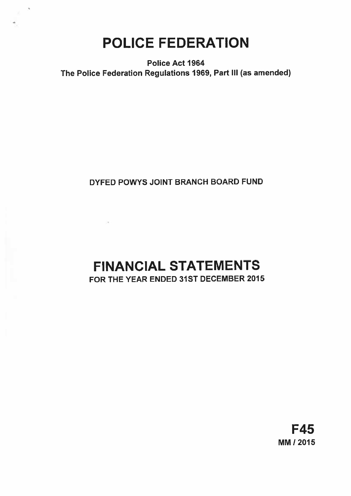# POLICE FEDERATION

Police Act 1964 The Police Federation Regulations 1969, Part Ill (as amended)

# DYFED POWYS JOINT BRANCH BOARD FUND

# FINANCIAL STATEMENTS FOR THE YEAR ENDED 31ST DECEMBER 2015

# F45 MM! 2015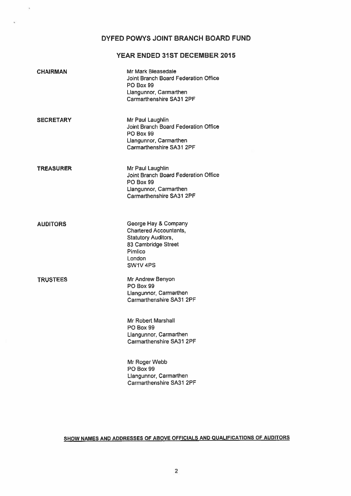# DYFED POWYS JOINT BRANCH BOARD FUND

# YEAR ENDED 31ST DECEMBER 2015

| <b>CHAIRMAN</b>  | Mr Mark Bleasedale<br>Joint Branch Board Federation Office<br><b>PO Box 99</b><br>Llangunnor, Carmarthen<br>Carmarthenshire SA31 2PF            |
|------------------|-------------------------------------------------------------------------------------------------------------------------------------------------|
| <b>SECRETARY</b> | Mr Paul Laughlin<br>Joint Branch Board Federation Office<br><b>PO Box 99</b><br>Llangunnor, Carmarthen<br>Carmarthenshire SA31 2PF              |
| <b>TREASURER</b> | Mr Paul Laughlin<br>Joint Branch Board Federation Office<br>PO Box 99<br>Llangunnor, Carmarthen<br>Carmarthenshire SA31 2PF                     |
| <b>AUDITORS</b>  | George Hay & Company<br>Chartered Accountants,<br><b>Statutory Auditors,</b><br>83 Cambridge Street<br>Pimlico<br>London<br>SW1V <sub>4PS</sub> |
| <b>TRUSTEES</b>  | Mr Andrew Benyon<br><b>PO Box 99</b><br>Llangunnor, Carmarthen<br>Carmarthenshire SA31 2PF                                                      |
|                  | Mr Robert Marshall<br><b>PO Box 99</b><br>Llangunnor, Carmarthen<br><b>Carmarthenshire SA31 2PF</b>                                             |
|                  | Mr Roger Webb<br>PO Box 99<br>Llangunnor, Carmarthen                                                                                            |

×.

# SHOW NAMES AND ADDRESSES OF ABOVE OFFICIALS AND QUALIFICATIONS OF AUDITORS

Carmarthenshire SA31 2PF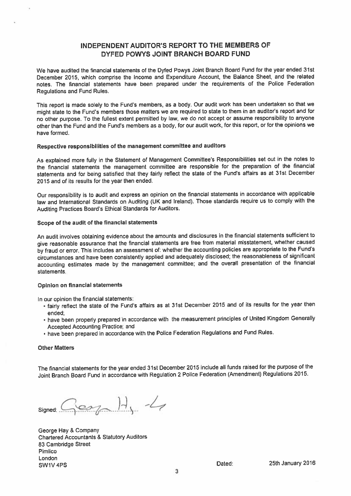# INDEPENDENT AUDITOR'S REPORT TO THE MEMBERS OF DYFED POWYS JOINT BRANCH BOARD FUND

We have audited the financial statements of the Dyfed Powys Joint Branch Board Fund for the year ended 31st December 2015, which comprise the Income and Expenditure Account, the Balance Sheet, and the related notes. The financial statements have been prepare<sup>d</sup> under the requirements of the Police Federation Regulations and Fund Rules.

This repor<sup>t</sup> is made solely to the Fund's members, as <sup>a</sup> body. Our audit work has been undertaken so that we might state to the Fund's members those matters we are required to state to them in an auditor's repor<sup>t</sup> and for no other purpose. To the fullest extent permitted by law, we do not accep<sup>t</sup> or assume responsibility to anyone other than the Fund and the Fund's members as <sup>a</sup> body, for our audit work, for this report, or for the opinions we have formed.

## Respective responsibilities of the managemen<sup>t</sup> committee and auditors

As explained more fully in the Statement of Management Committee's Responsibilities set out in the notes to the financial statements the managemen<sup>t</sup> committee are responsible for the preparation of the financial statements and for being satisfied that they fairly reflect the state of the Fund's affairs as at 31st December 2015 and of its results for the year then ended.

Our responsibility is to audit and express an opinion on the financial statements in accordance with applicable law and International Standards on Auditing (UK and Ireland). Those standards require us to comply with the Auditing Practices Board's Ethical Standards for Auditors.

## Scope of the audit of the financial statements

An audit involves obtaining evidence about the amounts and disclosures in the financial statements sufficient to <sup>g</sup>ive reasonable assurance that the financial statements are free from material misstatement, whether caused by fraud or error. This includes an assessment of: whether the accounting policies are appropriate to the Fund's circumstances and have been consistently applied and adequately disclosed: the reasonableness of significant accounting estimates made by the managemen<sup>t</sup> committee; and the overall presentation of the financial statements.

## Opinion on financial statements

In our opinion the financial statements:

- fairly reflect the state of the Fund's affairs as at 31st December <sup>2015</sup> and of its results for the year then ended;
- have been properly prepare<sup>d</sup> in accordance with the measurement principles of United Kingdom Generally Accepted Accounting Practice; and
- have been prepare<sup>d</sup> in accordance with the Police Federation Regulations and Fund Rules.

## Other Matters

The financial statements for the year ended 31st December <sup>2015</sup> include all funds raised for the purpose of the Joint Branch Board Fund in accordance with Regulation <sup>2</sup> Police Federation (Amendment) Regulations 2015.

 $Sem H. 4$ 

George Hay & Company Chartered Accountants & Statutory Auditors 83 Cambridge Street Pimlico London SW1V 4PS **Dated:** 25th January 2016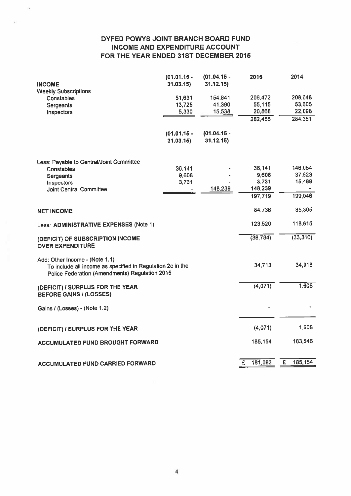# DYFED POWYS JOINT BRANCH BOARD FUND INCOME AND EXPENDITURE ACCOUNT FOR THE YEAR ENDED 31ST DECEMBER 2015

| <b>INCOME</b>                                                                                                                                  | $(01.01.15 -$<br>31.03.15 | $(01.04.15 -$<br>31.12.15) | 2015              | 2014              |
|------------------------------------------------------------------------------------------------------------------------------------------------|---------------------------|----------------------------|-------------------|-------------------|
| <b>Weekly Subscriptions</b><br>Constables<br><b>Sergeants</b>                                                                                  | 51,631<br>13,725          | 154,841<br>41,390          | 206,472<br>55,115 | 208,648<br>53,605 |
| Inspectors                                                                                                                                     | 5,330                     | 15,538                     | 20,868<br>282,455 | 22,098<br>284,351 |
|                                                                                                                                                | $(01.01.15 -$<br>31.03.15 | $(01.04.15 -$<br>31.12.15) |                   |                   |
| Less: Payable to Central/Joint Committee                                                                                                       |                           |                            |                   |                   |
| Constables<br><b>Sergeants</b>                                                                                                                 | 36,141<br>9,608           |                            | 36,141<br>9,608   | 146,054<br>37,523 |
| Inspectors<br><b>Joint Central Committee</b>                                                                                                   | 3,731                     | 148,239                    | 3,731<br>148,239  | 15,469            |
|                                                                                                                                                |                           |                            | 197,719           | 199,046           |
| <b>NET INCOME</b>                                                                                                                              |                           |                            | 84,736            | 85,305            |
| Less: ADMINISTRATIVE EXPENSES (Note 1)                                                                                                         |                           |                            | 123,520           | 118,615           |
| (DEFICIT) OF SUBSCRIPTION INCOME<br><b>OVER EXPENDITURE</b>                                                                                    |                           |                            | (38, 784)         | (33, 310)         |
| Add: Other Income - (Note 1.1)<br>To include all income as specified in Regulation 2c in the<br>Police Federation (Amendments) Regulation 2015 |                           |                            | 34,713            | 34,918            |
| (DEFICIT) / SURPLUS FOR THE YEAR<br><b>BEFORE GAINS / (LOSSES)</b>                                                                             |                           |                            | (4,071)           | 1,608             |
| Gains / (Losses) - (Note 1.2)                                                                                                                  |                           |                            |                   |                   |
| (DEFICIT) / SURPLUS FOR THE YEAR                                                                                                               |                           |                            | (4,071)           | 1,608             |
| <b>ACCUMULATED FUND BROUGHT FORWARD</b>                                                                                                        |                           |                            | 185,154           | 183,546           |
| <b>ACCUMULATED FUND CARRIED FORWARD</b>                                                                                                        |                           |                            | £<br>181,083      | 185,154<br>£      |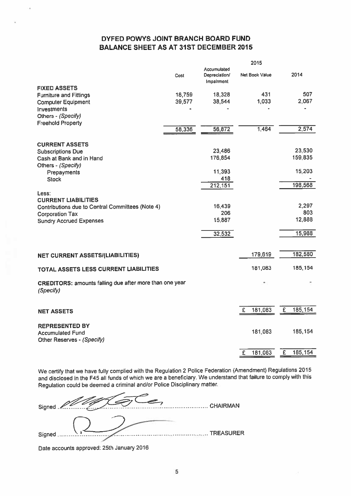# DYFED POWYS JOINT BRANCH BOARD FUND BALANCE SHEET AS AT 31ST DECEMBER 2015

2015

|                                                         |                                           | 2015                                                                                                             |                                                  |         |
|---------------------------------------------------------|-------------------------------------------|------------------------------------------------------------------------------------------------------------------|--------------------------------------------------|---------|
| Cost                                                    | Accumulated<br>Depreciation/<br>Impalment | Net Book Value                                                                                                   |                                                  | 2014    |
|                                                         |                                           |                                                                                                                  |                                                  |         |
|                                                         |                                           |                                                                                                                  |                                                  | 507     |
|                                                         |                                           |                                                                                                                  |                                                  | 2,067   |
|                                                         |                                           |                                                                                                                  |                                                  |         |
|                                                         |                                           |                                                                                                                  |                                                  |         |
|                                                         |                                           |                                                                                                                  |                                                  |         |
|                                                         |                                           |                                                                                                                  |                                                  | 2,574   |
|                                                         |                                           |                                                                                                                  |                                                  |         |
|                                                         |                                           |                                                                                                                  |                                                  | 23,530  |
|                                                         |                                           |                                                                                                                  |                                                  | 159,835 |
|                                                         |                                           |                                                                                                                  |                                                  |         |
|                                                         |                                           |                                                                                                                  |                                                  | 15,203  |
|                                                         |                                           |                                                                                                                  |                                                  |         |
|                                                         |                                           |                                                                                                                  |                                                  | 198,568 |
|                                                         |                                           |                                                                                                                  |                                                  |         |
|                                                         |                                           |                                                                                                                  |                                                  |         |
|                                                         |                                           |                                                                                                                  |                                                  | 2,297   |
|                                                         |                                           |                                                                                                                  |                                                  | 803     |
|                                                         |                                           |                                                                                                                  |                                                  | 12,888  |
|                                                         |                                           |                                                                                                                  |                                                  |         |
|                                                         |                                           |                                                                                                                  |                                                  | 15,988  |
|                                                         |                                           |                                                                                                                  |                                                  |         |
|                                                         |                                           | 179,619                                                                                                          |                                                  | 182,580 |
|                                                         |                                           |                                                                                                                  |                                                  |         |
|                                                         |                                           |                                                                                                                  |                                                  | 185,154 |
| CREDITORS: amounts falling due after more than one year |                                           |                                                                                                                  |                                                  |         |
|                                                         |                                           |                                                                                                                  | £                                                | 185,154 |
|                                                         |                                           |                                                                                                                  |                                                  |         |
|                                                         |                                           |                                                                                                                  |                                                  |         |
|                                                         |                                           | 181,083                                                                                                          |                                                  | 185,154 |
|                                                         |                                           |                                                                                                                  |                                                  |         |
|                                                         |                                           |                                                                                                                  |                                                  |         |
|                                                         |                                           | 181,083<br>£                                                                                                     | £                                                | 185,154 |
|                                                         | 18,759<br>39,577<br>58,336                | 18,328<br>38,544<br>56,872<br>23,486<br>176,854<br>11,393<br>418<br>212,151<br>16,439<br>206<br>15,887<br>32,532 | 431<br>1,033<br>1,464<br>181,083<br>181,083<br>£ |         |

We certify that we have fully complied with the Regulation <sup>2</sup> Police Federation (Amendment) Regulations <sup>2015</sup> and disclosed in the F45 all funds of which we are <sup>a</sup> beneficiary. We understand that failure to comply with this Regulation could be deemed <sup>a</sup> criminal and/or Police Disciplinary matter.

Signed . Chairman CHAIRMAN Signed C........... TREASURER

Date accounts approved: 25th January <sup>2016</sup>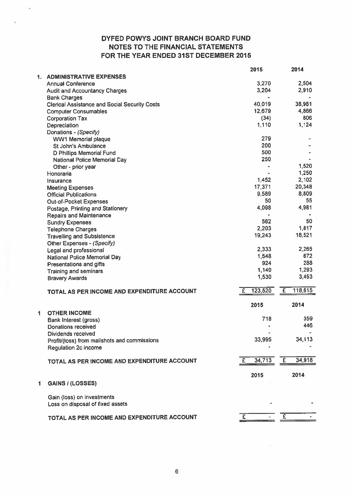# DYFED POWYS JOINT BRANCH BOARD FUND NOTES TO THE FINANCIAL STATEMENTS FOR THE YEAR ENDED 31ST DECEMBER 2015

|    |                                                      | 2015         | 2014                     |
|----|------------------------------------------------------|--------------|--------------------------|
| 1. | <b>ADMINISTRATIVE EXPENSES</b>                       |              |                          |
|    | <b>Annual Conference</b>                             | 3,270        | 2,504                    |
|    | <b>Audit and Accountancy Charges</b>                 | 3,204        | 2,910                    |
|    | <b>Bank Charges</b>                                  |              |                          |
|    | <b>Clerical Assistance and Social Security Costs</b> | 40,019       | 38,981                   |
|    | <b>Computer Consumables</b>                          | 12,679       | 4,866                    |
|    | <b>Corporation Tax</b>                               | (34)         | 806                      |
|    | Depreciation                                         | 1,110        | 1,124                    |
|    | Donations - (Specify)                                |              |                          |
|    | <b>WW1 Memorial plaque</b>                           | 279          |                          |
|    | St John's Ambulance                                  | 200          |                          |
|    | D Phillips Memorial Fund                             | 500          |                          |
|    |                                                      | 250          |                          |
|    | National Police Memorial Day                         |              | 1,520                    |
|    | Other - prior year                                   |              | 1,250                    |
|    | Honoraria                                            |              | 2,102                    |
|    | Insurance                                            | 1,452        |                          |
|    | <b>Meeting Expenses</b>                              | 17,371       | 20,348                   |
|    | <b>Official Publications</b>                         | 9.589        | 8,809                    |
|    | <b>Out-of-Pocket Expenses</b>                        | 50           | 55                       |
|    | Postage, Printing and Stationery                     | 4,098        | 4,981                    |
|    | <b>Repairs and Maintenance</b>                       |              |                          |
|    | <b>Sundry Expenses</b>                               | 562          | 50                       |
|    | <b>Telephone Charges</b>                             | 2,203        | 1,817                    |
|    | <b>Travelling and Subsistence</b>                    | 19,243       | 18,521                   |
|    | Other Expenses - (Specify)                           |              |                          |
|    | Legal and professional                               | 2,333        | 2,265                    |
|    | National Police Memorial Day                         | 1,548        | 672                      |
|    | Presentations and gifts                              | 924          | 288                      |
|    | <b>Training and seminars</b>                         | 1,140        | 1,293                    |
|    | <b>Bravery Awards</b>                                | 1,530        | 3,453                    |
|    |                                                      |              |                          |
|    | TOTAL AS PER INCOME AND EXPENDITURE ACCOUNT          | 123,520<br>£ | 118,615<br>£             |
|    |                                                      | 2015         | 2014                     |
| 1  | <b>OTHER INCOME</b>                                  |              |                          |
|    | Bank Interest (gross)                                | 718          | 359                      |
|    | <b>Donations received</b>                            |              | 446                      |
|    | Dividends received                                   |              |                          |
|    | Profit/(loss) from mailshots and commissions         | 33,995       | 34,113                   |
|    |                                                      |              |                          |
|    | Regulation 2c income                                 |              |                          |
|    | TOTAL AS PER INCOME AND EXPENDITURE ACCOUNT          | 34,713<br>E  | $\overline{E}$<br>34,918 |
|    |                                                      |              |                          |
|    |                                                      | 2015         | 2014                     |
| 1  | <b>GAINS / (LOSSES)</b>                              |              |                          |
|    |                                                      |              |                          |
|    | Gain (loss) on investments                           |              |                          |
|    | Loss on disposal of fixed assets                     |              |                          |
|    |                                                      |              |                          |
|    | TOTAL AS PER INCOME AND EXPENDITURE ACCOUNT          | £.           | $\overline{E}$           |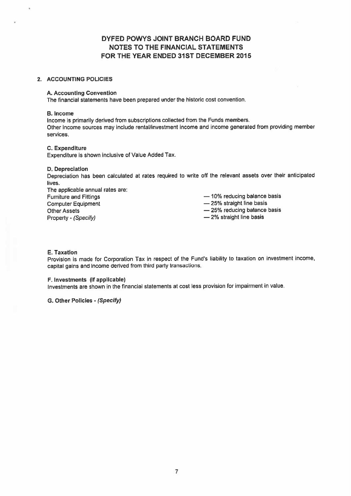# DYFED POWYS JOINT BRANCH BOARD FUND NOTES TO THE FINANCIAL STATEMENTS FOR THE YEAR ENDED 31ST DECEMBER 2015

## 2. ACCOUNTING POLICIES

## A. Accounting Convention

The financial statements have been prepared under the historic cost convention.

## B. Income

Income is primarily derived from subscriptions collected from the Funds members. Other income sources may include rental/investment income and income generated from providing member services.

## C. Expenditure

Expenditure is shown inclusive of Value Added Tax.

## 0. Depreciation

Depreciation has been calculated at rates required to write off the relevant assets over their anticipated lives.

The applicable annual rates are: Furniture and Fittings **Exercise 2018** — 10% reducing balance basis Computer Equipment **Equipment** — 25% straight line basis Other Assets **EXECUTE:** 25% reducing balance basis Property - (Specify) — 2% straight line basis

- 
- 

## E. Taxation

Provision is made for Corporation Tax in respect of the Fund's liability to taxation on investment income, capital gains and income derived from third party transactions.

## F. Investments (if applicable)

Investments are shown in the financial statements at cost less provision for impairment in value.

G. Other Policies - (Specify)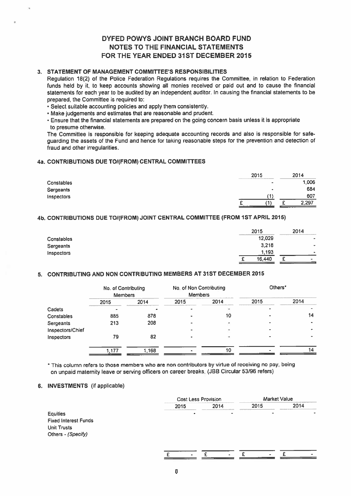# DYFED POWYS JOINT BRANCH BOARD FUND NOTES TO THE FINANCIAL STATEMENTS FOR THE YEAR ENDED 31ST DECEMBER 2015

## 3. STATEMENT OF MANAGEMENT COMMITTEE'S RESPONSIBILITIES

## 4a. CONTRIBUTIONS DUE TO/(FROM) CENTRAL COMMITTEES

|            | 2015      | 2014  |
|------------|-----------|-------|
| Constables | $\sim$    | ,006  |
| Sergeants  | $\bullet$ | 684   |
| Inspectors |           | 607   |
|            |           | 2,297 |
|            | ——        |       |

## 4b. CONTRIBUTIONS DUE TO/(FROM) JOINT CENTRAL COMMITTEE (FROM 1ST APRIL 2015)

|            | 2015   | 2014                     |
|------------|--------|--------------------------|
| Constables | 12,029 | -                        |
| Sergeants  | 3,218  | $\overline{\phantom{a}}$ |
| Inspectors | 1,193  | ۰                        |
|            | 16,440 | -<br>٠<br>۰.             |

## 5. CONTRIBUTING AND NON CONTRIBUTING MEMBERS AT 31ST DECEMBER 2015

|                                                                                                                                                                                                                                                                                                                                                                                                                                                                                                                                                                                                                                                                                                                                                                                                                                                                                                                                                                    |                                       |       | DYFED POWYS JOINT BRANCH BOARD FUND<br><b>NOTES TO THE FINANCIAL STATEMENTS</b><br>FOR THE YEAR ENDED 31ST DECEMBER 2015 |      |             |                     |       |       |
|--------------------------------------------------------------------------------------------------------------------------------------------------------------------------------------------------------------------------------------------------------------------------------------------------------------------------------------------------------------------------------------------------------------------------------------------------------------------------------------------------------------------------------------------------------------------------------------------------------------------------------------------------------------------------------------------------------------------------------------------------------------------------------------------------------------------------------------------------------------------------------------------------------------------------------------------------------------------|---------------------------------------|-------|--------------------------------------------------------------------------------------------------------------------------|------|-------------|---------------------|-------|-------|
| STATEMENT OF MANAGEMENT COMMITTEE'S RESPONSIBILITIES<br>Regulation 18(2) of the Police Federation Regulations requires the Committee, in relation to Federation<br>unds held by it, to keep accounts showing all monies received or paid out and to cause the financial<br>statements for each year to be audited by an independent auditor. In causing the financial statements to be<br>prepared, the Committee is required to:<br>Select suitable accounting policies and apply them consistently.<br>Make judgements and estimates that are reasonable and prudent.<br>Ensure that the financial statements are prepared on the going concern basis unless it is appropriate<br>to presume otherwise.<br>The Committee is responsible for keeping adequate accounting records and also is responsible for safe-<br>quarding the assets of the Fund and hence for taking reasonable steps for the prevention and detection of<br>raud and other irregularities. |                                       |       |                                                                                                                          |      |             |                     |       |       |
| CONTRIBUTIONS DUE TO/(FROM) CENTRAL COMMITTEES                                                                                                                                                                                                                                                                                                                                                                                                                                                                                                                                                                                                                                                                                                                                                                                                                                                                                                                     |                                       |       |                                                                                                                          |      |             |                     |       |       |
|                                                                                                                                                                                                                                                                                                                                                                                                                                                                                                                                                                                                                                                                                                                                                                                                                                                                                                                                                                    |                                       |       |                                                                                                                          |      | 2015        |                     | 2014  |       |
| Constables                                                                                                                                                                                                                                                                                                                                                                                                                                                                                                                                                                                                                                                                                                                                                                                                                                                                                                                                                         |                                       |       |                                                                                                                          |      |             |                     |       | 1,006 |
| Sergeants                                                                                                                                                                                                                                                                                                                                                                                                                                                                                                                                                                                                                                                                                                                                                                                                                                                                                                                                                          |                                       |       |                                                                                                                          |      |             |                     |       | 684   |
| nspectors                                                                                                                                                                                                                                                                                                                                                                                                                                                                                                                                                                                                                                                                                                                                                                                                                                                                                                                                                          |                                       |       |                                                                                                                          |      |             | (1)                 |       | 607   |
|                                                                                                                                                                                                                                                                                                                                                                                                                                                                                                                                                                                                                                                                                                                                                                                                                                                                                                                                                                    |                                       |       |                                                                                                                          |      | £<br>(1)    | £                   | 2,297 |       |
| CONTRIBUTIONS DUE TO/(FROM) JOINT CENTRAL COMMITTEE (FROM 1ST APRIL 2015)                                                                                                                                                                                                                                                                                                                                                                                                                                                                                                                                                                                                                                                                                                                                                                                                                                                                                          |                                       |       |                                                                                                                          |      |             |                     |       |       |
|                                                                                                                                                                                                                                                                                                                                                                                                                                                                                                                                                                                                                                                                                                                                                                                                                                                                                                                                                                    |                                       |       |                                                                                                                          |      | 2015        |                     | 2014  |       |
| Constables                                                                                                                                                                                                                                                                                                                                                                                                                                                                                                                                                                                                                                                                                                                                                                                                                                                                                                                                                         |                                       |       |                                                                                                                          |      | 12,029      |                     |       |       |
| Sergeants                                                                                                                                                                                                                                                                                                                                                                                                                                                                                                                                                                                                                                                                                                                                                                                                                                                                                                                                                          |                                       |       |                                                                                                                          |      | 3,218       |                     |       |       |
| nspectors                                                                                                                                                                                                                                                                                                                                                                                                                                                                                                                                                                                                                                                                                                                                                                                                                                                                                                                                                          |                                       |       |                                                                                                                          |      | 1,193       |                     |       |       |
|                                                                                                                                                                                                                                                                                                                                                                                                                                                                                                                                                                                                                                                                                                                                                                                                                                                                                                                                                                    |                                       |       |                                                                                                                          |      | 16,440<br>£ | £                   |       |       |
| CONTRIBUTING AND NON CONTRIBUTING MEMBERS AT 31ST DECEMBER 2015                                                                                                                                                                                                                                                                                                                                                                                                                                                                                                                                                                                                                                                                                                                                                                                                                                                                                                    |                                       |       |                                                                                                                          |      |             |                     |       |       |
|                                                                                                                                                                                                                                                                                                                                                                                                                                                                                                                                                                                                                                                                                                                                                                                                                                                                                                                                                                    | No. of Contributing<br><b>Members</b> |       | No. of Non Contributing<br><b>Members</b>                                                                                |      |             | Others <sup>*</sup> |       |       |
|                                                                                                                                                                                                                                                                                                                                                                                                                                                                                                                                                                                                                                                                                                                                                                                                                                                                                                                                                                    | 2015                                  | 2014  | 2015                                                                                                                     | 2014 | 2015        |                     | 2014  |       |
| Cadets                                                                                                                                                                                                                                                                                                                                                                                                                                                                                                                                                                                                                                                                                                                                                                                                                                                                                                                                                             |                                       |       |                                                                                                                          |      |             |                     |       |       |
| Constables                                                                                                                                                                                                                                                                                                                                                                                                                                                                                                                                                                                                                                                                                                                                                                                                                                                                                                                                                         | 885                                   | 878   |                                                                                                                          | 10   |             |                     |       | 14    |
| Sergeants                                                                                                                                                                                                                                                                                                                                                                                                                                                                                                                                                                                                                                                                                                                                                                                                                                                                                                                                                          | 213                                   | 208   |                                                                                                                          |      |             |                     |       |       |
| Inspectors/Chief<br><b>Inspectors</b>                                                                                                                                                                                                                                                                                                                                                                                                                                                                                                                                                                                                                                                                                                                                                                                                                                                                                                                              | 79                                    | 82    |                                                                                                                          |      |             |                     |       |       |
|                                                                                                                                                                                                                                                                                                                                                                                                                                                                                                                                                                                                                                                                                                                                                                                                                                                                                                                                                                    |                                       |       |                                                                                                                          |      |             |                     |       |       |
|                                                                                                                                                                                                                                                                                                                                                                                                                                                                                                                                                                                                                                                                                                                                                                                                                                                                                                                                                                    | 1,177                                 | 1,168 |                                                                                                                          | 10   |             |                     |       | 14    |
| This column refers to those members who are non contributors by virtue of receiving no pay, being<br>on unpaid maternity leave or serving officers on career breaks. (JBB Circular 53/96 refers)                                                                                                                                                                                                                                                                                                                                                                                                                                                                                                                                                                                                                                                                                                                                                                   |                                       |       |                                                                                                                          |      |             |                     |       |       |
| <b>INVESTMENTS</b> (if applicable)                                                                                                                                                                                                                                                                                                                                                                                                                                                                                                                                                                                                                                                                                                                                                                                                                                                                                                                                 |                                       |       |                                                                                                                          |      |             |                     |       |       |
|                                                                                                                                                                                                                                                                                                                                                                                                                                                                                                                                                                                                                                                                                                                                                                                                                                                                                                                                                                    |                                       |       | <b>Cost Less Provision</b>                                                                                               |      |             | <b>Market Value</b> |       |       |
|                                                                                                                                                                                                                                                                                                                                                                                                                                                                                                                                                                                                                                                                                                                                                                                                                                                                                                                                                                    |                                       |       | 2015                                                                                                                     | 2014 | 2015        |                     | 2014  |       |

## 6. INVESTMENTS (if applicable)

|                             |                                        | <b>Cost Less Provision</b> |      | <b>Market Value</b> |
|-----------------------------|----------------------------------------|----------------------------|------|---------------------|
|                             | <b>STATE CARD AND PROPERTY</b><br>2015 | 2014                       | 2015 | 2014                |
| Equities                    | $\bullet$                              | -                          |      |                     |
| <b>Fixed Interest Funds</b> |                                        |                            |      |                     |
| Unit Trusts                 |                                        |                            |      |                     |
| Others - (Specify)          |                                        |                            |      |                     |
|                             |                                        |                            |      |                     |
|                             |                                        |                            |      |                     |
|                             |                                        |                            |      |                     |